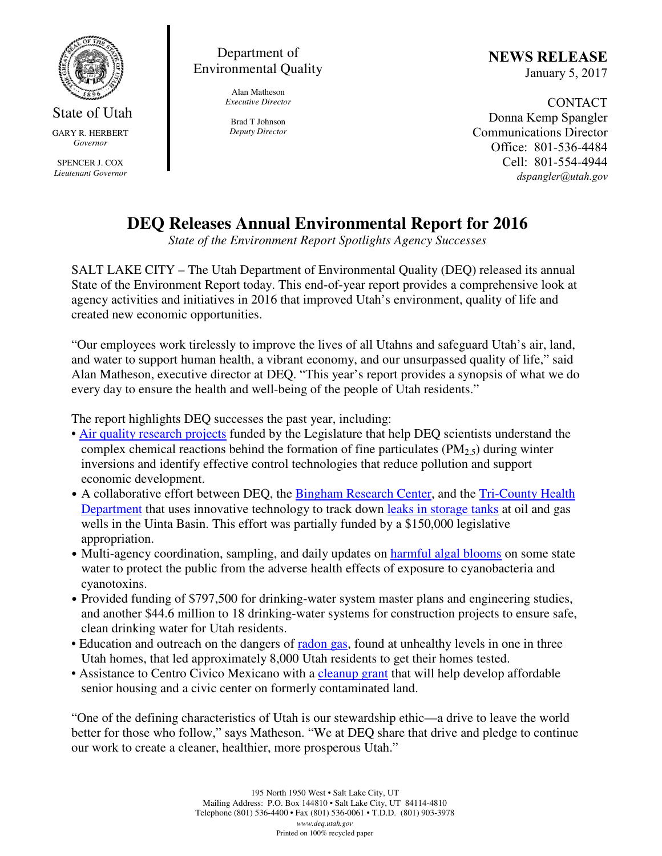

State of Utah GARY R. HERBERT *Governor* 

SPENCER J. COX *Lieutenant Governor* 

Department of Environmental Quality

> Alan Matheson *Executive Director*

Brad T Johnson *Deputy Director*  NEWS RELEASE January 5, 2017

CONTACT Donna Kemp Spangler Communications Director Office: 801-536-4484 Cell: 801-554-4944 dspangler@utah.gov

## **DEQ Releases Annual Environmental Report for 2016**

*State of the Environment Report Spotlights Agency Successes* 

SALT LAKE CITY – The Utah Department of Environmental Quality (DEQ) released its annual State of the Environment Report today. This end-of-year report provides a comprehensive look at agency activities and initiatives in 2016 that improved Utah's environment, quality of life and created new economic opportunities.

"Our employees work tirelessly to improve the lives of all Utahns and safeguard Utah's air, land, and water to support human health, a vibrant economy, and our unsurpassed quality of life," said Alan Matheson, executive director at DEQ. "This year's report provides a synopsis of what we do every day to ensure the health and well-being of the people of Utah residents."

The report highlights DEQ successes the past year, including:

- Air quality research projects funded by the Legislature that help DEQ scientists understand the complex chemical reactions behind the formation of fine particulates ( $PM<sub>2.5</sub>$ ) during winter inversions and identify effective control technologies that reduce pollution and support economic development.
- A collaborative effort between DEQ, the Bingham Research Center, and the Tri-County Health Department that uses innovative technology to track down leaks in storage tanks at oil and gas wells in the Uinta Basin. This effort was partially funded by a \$150,000 legislative appropriation.
- Multi-agency coordination, sampling, and daily updates on harmful algal blooms on some state water to protect the public from the adverse health effects of exposure to cyanobacteria and cyanotoxins.
- Provided funding of \$797,500 for drinking-water system master plans and engineering studies, and another \$44.6 million to 18 drinking-water systems for construction projects to ensure safe, clean drinking water for Utah residents.
- Education and outreach on the dangers of radon gas, found at unhealthy levels in one in three Utah homes, that led approximately 8,000 Utah residents to get their homes tested.
- Assistance to Centro Civico Mexicano with a cleanup grant that will help develop affordable senior housing and a civic center on formerly contaminated land.

"One of the defining characteristics of Utah is our stewardship ethic—a drive to leave the world better for those who follow," says Matheson. "We at DEQ share that drive and pledge to continue our work to create a cleaner, healthier, more prosperous Utah."